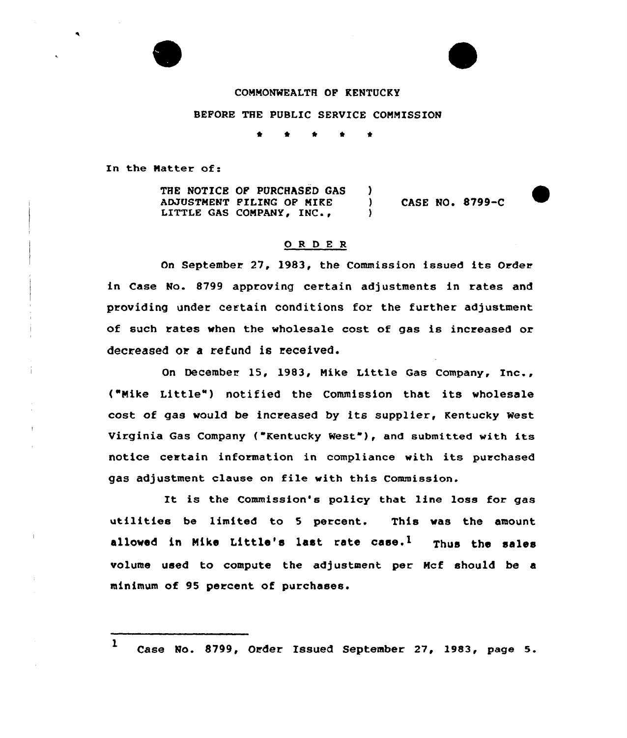# COMNONWEALTR OF KENTUCKy

### BEFORE THE PUBLIC SERVICE CONNISSION

 $\bullet$  $\bullet$ 

In the Matter of:

THE NOTICE OF PURCHASED GAS )<br>ADJUSTMENT FILING OF MIKE ADJUSTMENT FILING OF MIRE ) CASE NO. 8799-C LITTLE GAS COMPANY, INC., ۰,

### 0 <sup>R</sup> <sup>D</sup> <sup>E</sup> <sup>R</sup>

On September 27, 1983, the Commission issued its Order in Case No. 8799 approving certain adjustments in rates and providing under certain conditions for the further adjustment of such rates when the wholesale cost of gas is increased or decreased or a refund is received.

On December 15, 1983, Nike Little Gas Company, Inc., ("Nike Little" ) notified the Commission that its wholesale cost of gas would be increased by its supplier, Kentucky West Virginia Gas Company ("Kentucky Nest"), and submitted with its notice cextain infovmation in compliance with its puvchased gas adjustment clause on file with this Commission.

It is the Commission's policy that line loss for gas utilities be limited to <sup>5</sup> percent. This was the amount allowed in Mike Little's last rate case.<sup>1</sup> Thus the sales volume used to compute the adjustment per Ncf should be a minimum of 95 percent of purchases.

<sup>1</sup> Case Wo. 8799, Order Issued September 27, 1983, page 5.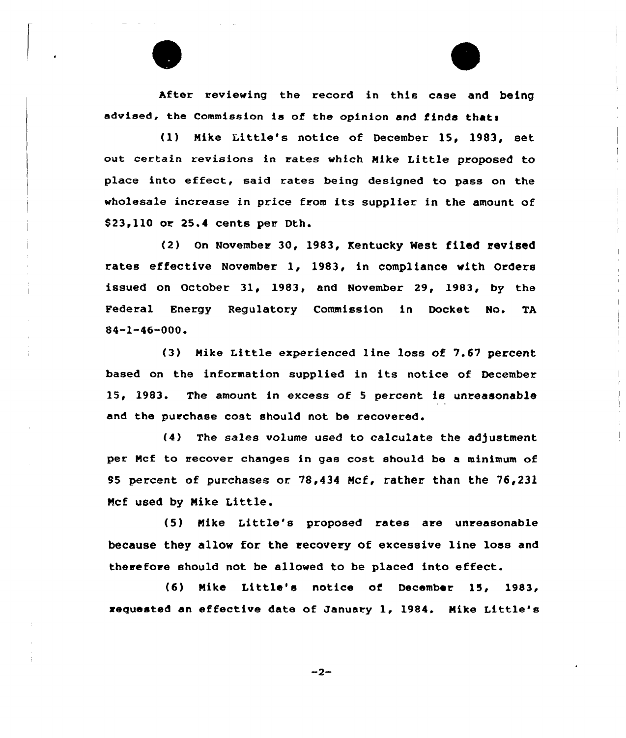After reviewing the record in this case and being advised, the Commission is of the opinion and finds that:

(1) Nike Little's notice of December 15, 1983, set aut certain revisions in rates which Nike Little proposed to place into effect, said rates being designed to pass on the wholesale increase in price from its supplier in the amount of \$ 23,110 or 25.4 cents per Dth.

(2) on November 30, 1983, Kentucky Nest filed revised rates effective November 1, 1983, in compliance with Orders issued on October 31, 1983, and November 29, 1983, by the Federal Energy Regulatory Commission in Docket No. TA  $84 - 1 - 46 - 000$ .

(3) Nike Little experienced line lass af 7.67 percent based on the information supplied in its notice of December 15, 1983. The amount in excess of 5 percent is unreasonable and the puxchase cost should not be recovered.

 $(4)$  The sales volume used to calculate the adjustment per Mcf to recover changes in gas cost should be a minimum of 95 percent af purchases or 78,434 Mcf, rather than the 76,231 Ncf used by Nike Little.

(5) Nike Little's proposed rates are unreasonable because they allow for the recovery of excessive line loss and thexefoxe should not be allowed to be placed into effect.

(6) Nike Little's notice of December 15, 1983/ xequested an effective date of January 1, 1984. Nike Little's

 $-2-$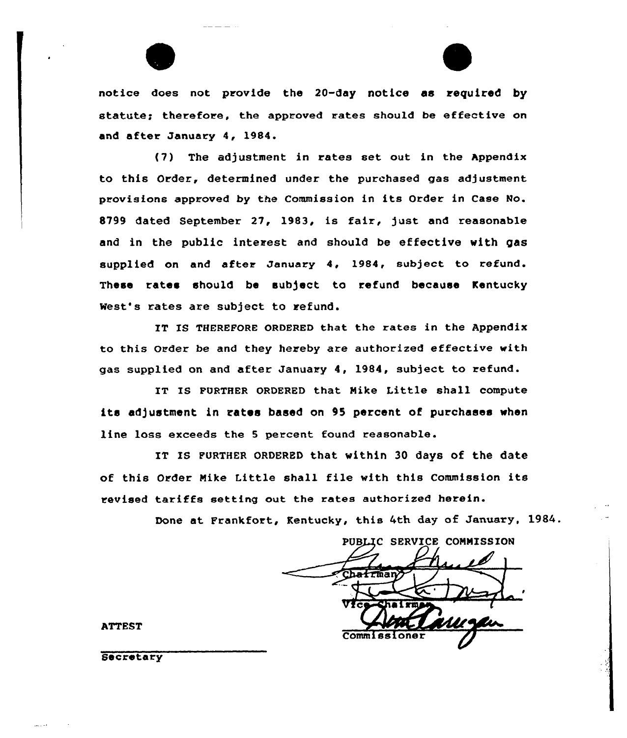



notice does not provide the 20-day notice as required by statute; therefore, the approved rates should be effective on and after January 4, 1984.

(7) The adjustment in rates set out in the Appendix to this Order, determined under the purchased gas adjustment provisions approved by the Commission in its Order in Case No. 8799 dated September 27, 1983, is fair, just and reasonable and in the public interest and should be effective with gas supplied on and after January 4, 1984, subject to refund. These rates should be subject to refund because Kentucky West's rates are subject to refund.

IT IS THEREFORE ORDERED that the rates in the Appendix to this Order be and they hereby are authorized effective with gas supplied on and after January 4, 1984, subject to refund.

IT IS FVRTHER ORDERED that Nike Little shall compute its adjustment in rates based on 95 percent of purchases when line loss exceeds the 5 percent found reasonable.

IT IS FURTHER ORDERED that within 30 days of the date of this Order Mike Little shall file with this Commission its revised tariffs setting out the rates authorized herein.

Done at Frankfort, Kentucky, this 4th day of January, 1984.

PUBLIC SERVICE COMMISSION Chatrman )  $\sum_{i=1}^N$ Vfce-Shal g Commissione

**ATTEST** 

Secretary